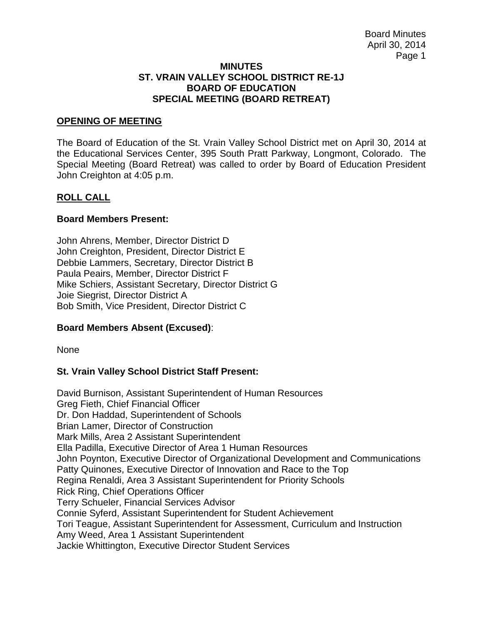#### **MINUTES ST. VRAIN VALLEY SCHOOL DISTRICT RE-1J BOARD OF EDUCATION SPECIAL MEETING (BOARD RETREAT)**

### **OPENING OF MEETING**

The Board of Education of the St. Vrain Valley School District met on April 30, 2014 at the Educational Services Center, 395 South Pratt Parkway, Longmont, Colorado. The Special Meeting (Board Retreat) was called to order by Board of Education President John Creighton at 4:05 p.m.

# **ROLL CALL**

#### **Board Members Present:**

John Ahrens, Member, Director District D John Creighton, President, Director District E Debbie Lammers, Secretary, Director District B Paula Peairs, Member, Director District F Mike Schiers, Assistant Secretary, Director District G Joie Siegrist, Director District A Bob Smith, Vice President, Director District C

# **Board Members Absent (Excused)**:

None

# **St. Vrain Valley School District Staff Present:**

David Burnison, Assistant Superintendent of Human Resources Greg Fieth, Chief Financial Officer Dr. Don Haddad, Superintendent of Schools Brian Lamer, Director of Construction Mark Mills, Area 2 Assistant Superintendent Ella Padilla, Executive Director of Area 1 Human Resources John Poynton, Executive Director of Organizational Development and Communications Patty Quinones, Executive Director of Innovation and Race to the Top Regina Renaldi, Area 3 Assistant Superintendent for Priority Schools Rick Ring, Chief Operations Officer Terry Schueler, Financial Services Advisor Connie Syferd, Assistant Superintendent for Student Achievement Tori Teague, Assistant Superintendent for Assessment, Curriculum and Instruction Amy Weed, Area 1 Assistant Superintendent Jackie Whittington, Executive Director Student Services